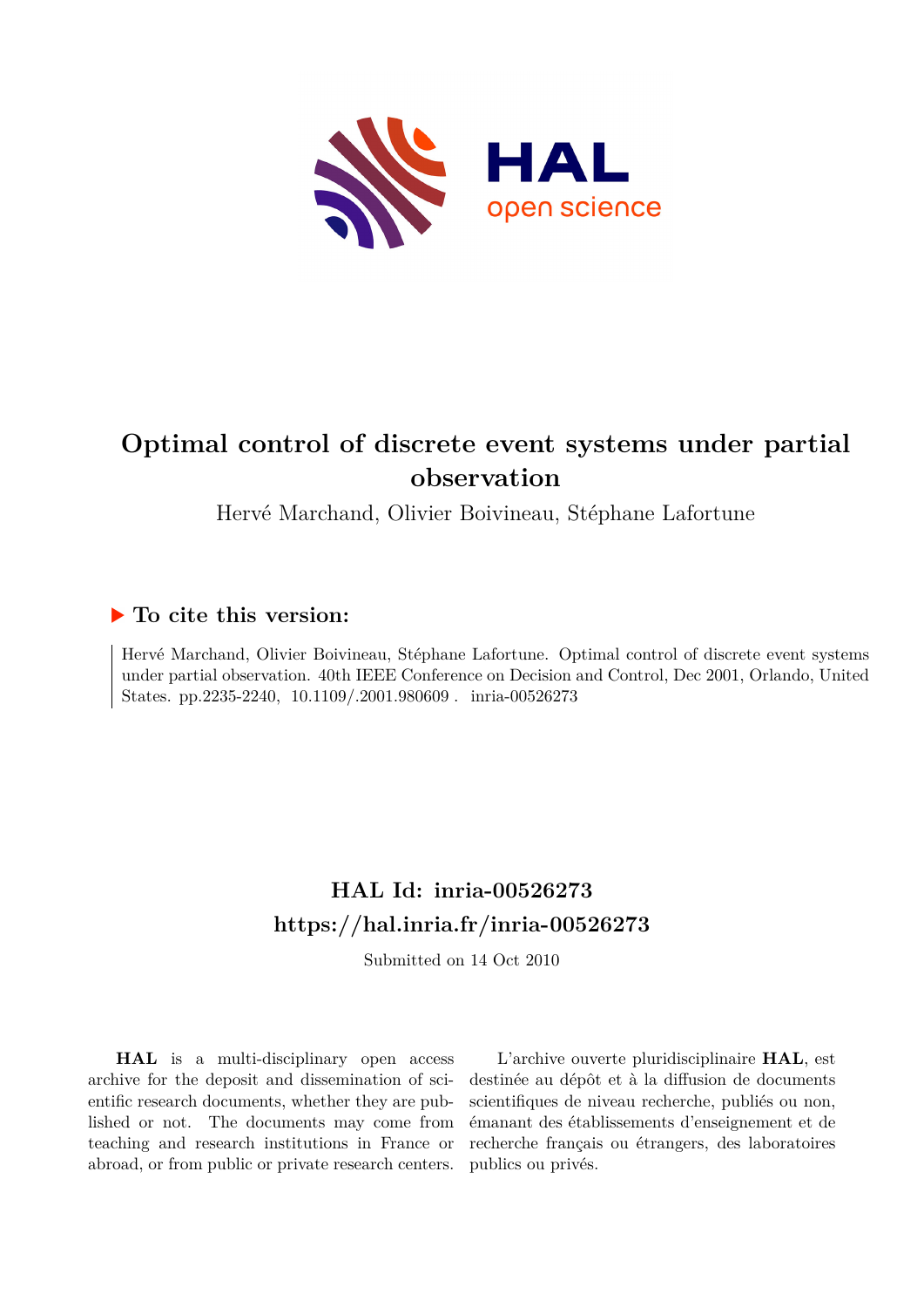

# **Optimal control of discrete event systems under partial observation**

Hervé Marchand, Olivier Boivineau, Stéphane Lafortune

## **To cite this version:**

Hervé Marchand, Olivier Boivineau, Stéphane Lafortune. Optimal control of discrete event systems under partial observation. 40th IEEE Conference on Decision and Control, Dec 2001, Orlando, United States. pp.2235-2240,  $10.1109/.2001.980609$ . inria-00526273

## **HAL Id: inria-00526273 <https://hal.inria.fr/inria-00526273>**

Submitted on 14 Oct 2010

**HAL** is a multi-disciplinary open access archive for the deposit and dissemination of scientific research documents, whether they are published or not. The documents may come from teaching and research institutions in France or abroad, or from public or private research centers.

L'archive ouverte pluridisciplinaire **HAL**, est destinée au dépôt et à la diffusion de documents scientifiques de niveau recherche, publiés ou non, émanant des établissements d'enseignement et de recherche français ou étrangers, des laboratoires publics ou privés.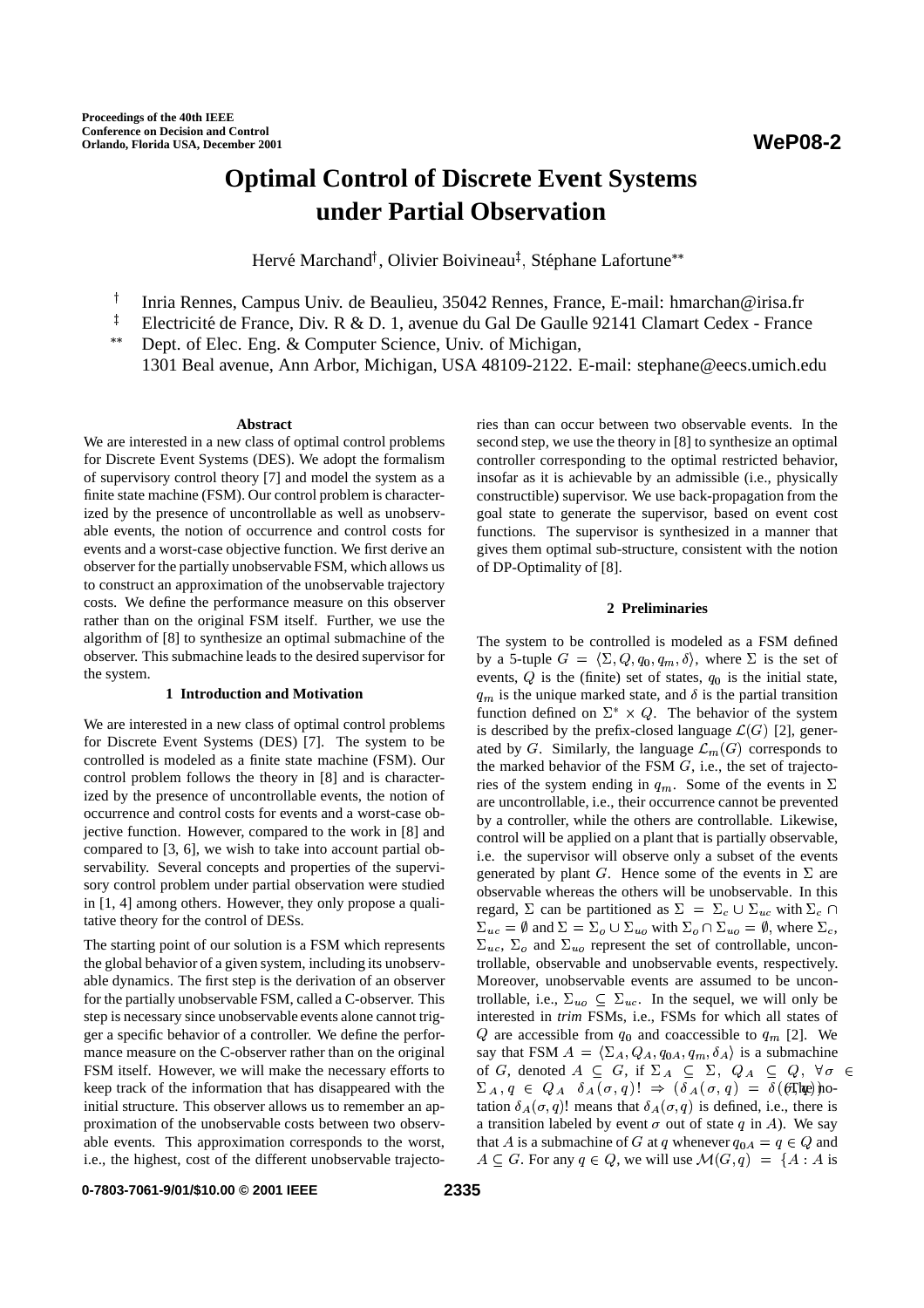## **Optimal Control of Discrete Event Systems under Partial Observation**

Hervé Marchand<sup>†</sup>, Olivier Boivineau<sup>‡</sup>, Stéphane Lafortune\*\*

- <sup>†</sup> Inria Rennes, Campus Univ. de Beaulieu, 35042 Rennes, France, E-mail: hmarchan@irisa.fr
- <sup>‡</sup> Electricité de France, Div. R & D. 1, avenue du Gal De Gaulle 92141 Clamart Cedex France
- Dept. of Elec. Eng. & Computer Science, Univ. of Michigan, 1301 Beal avenue, Ann Arbor, Michigan, USA 48109-2122. E-mail: stephane@eecs.umich.edu

## **Abstract**

We are interested in a new class of optimal control problems for Discrete Event Systems (DES). We adopt the formalism of supervisory control theory [7] and model the system as a finite state machine (FSM). Our control problem is characterized by the presence of uncontrollable as well as unobservable events, the notion of occurrence and control costs for events and a worst-case objective function. We first derive an observer for the partially unobservable FSM, which allows us to construct an approximation of the unobservable trajectory costs. We define the performance measure on this observer rather than on the original FSM itself. Further, we use the algorithm of [8] to synthesize an optimal submachine of the observer. This submachine leads to the desired supervisor for the system.

## **1 Introduction and Motivation**

We are interested in a new class of optimal control problems for Discrete Event Systems (DES) [7]. The system to be controlled is modeled as a finite state machine (FSM). Our control problem follows the theory in [8] and is characterized by the presence of uncontrollable events, the notion of occurrence and control costs for events and a worst-case objective function. However, compared to the work in [8] and compared to [3, 6], we wish to take into account partial observability. Several concepts and properties of the supervisory control problem under partial observation were studied in [1, 4] among others. However, they only propose a qualitative theory for the control of DESs.

The starting point of our solution is a FSM which represents the global behavior of a given system, including its unobservable dynamics. The first step is the derivation of an observer for the partially unobservable FSM, called a C-observer. This step is necessary since unobservable events alone cannot trigger a specific behavior of a controller. We define the performance measure on the C-observer rather than on the original FSM itself. However, we will make the necessary efforts to keep track of the information that has disappeared with the initial structure. This observer allows us to remember an approximation of the unobservable costs between two observable events. This approximation corresponds to the worst, i.e., the highest, cost of the different unobservable trajectories than can occur between two observable events. In the second step, we use the theory in [8] to synthesize an optimal controller corresponding to the optimal restricted behavior, insofar as it is achievable by an admissible (i.e., physically constructible) supervisor. We use back-propagation from the goal state to generate the supervisor, based on event cost functions. The supervisor is synthesized in a manner that gives them optimal sub-structure, consistent with the notion of DP-Optimality of [8].

## **2 Preliminaries**

The system to be controlled is modeled as a FSM defined by a 5-tuple  $G = \langle \Sigma, Q, q_0, q_m, \delta \rangle$ , where  $\Sigma$  is the set of events,  $Q$  is the (finite) set of states,  $q_0$  is the initial state,  $q_m$  is the unique marked state, and  $\delta$  is the partial transition function defined on  $\Sigma^* \times Q$ . The behavior of the system is described by the prefix-closed language  $\mathcal{L}(G)$  [2], generated by G. Similarly, the language  $\mathcal{L}_m(G)$  corresponds to the marked behavior of the FSM  $G$ , i.e., the set of trajectories of the system ending in  $q_m$ . Some of the events in  $\Sigma$ are uncontrollable, i.e., their occurrence cannot be prevented by a controller, while the others are controllable. Likewise, control will be applied on a plant that is partially observable, i.e. the supervisor will observe only a subset of the events generated by plant G. Hence some of the events in  $\Sigma$  are observable whereas the others will be unobservable. In this regard,  $\Sigma$  can be partitioned as  $\Sigma = \Sigma_c \cup \Sigma_{uc}$  with  $\Sigma_c \cap$  $\Sigma_{uc} = \emptyset$  and  $\Sigma = \Sigma_o \cup \Sigma_{uo}$  with  $\Sigma_o \cap \Sigma_{uo} = \emptyset$ , where  $\Sigma_c$ ,  $\Sigma_{nc}$ ,  $\Sigma_{0}$  and  $\Sigma_{no}$  represent the set of controllable, uncontrollable, observable and unobservable events, respectively. Moreover, unobservable events are assumed to be uncontrollable, i.e.,  $\Sigma_{uo} \subseteq \Sigma_{uc}$ . In the sequel, we will only be interested in *trim* FSMs, i.e., FSMs for which all states of Q are accessible from  $q_0$  and coaccessible to  $q_m$  [2]. We say that FSM  $A = \langle \Sigma_A, Q_A, q_{0A}, q_m, \delta_A \rangle$  is a submachine of G, denoted  $A \subseteq G$ , if  $\Sigma_A \subseteq \Sigma$ ,  $Q_A \subseteq Q$ ,  $\forall \sigma \in$  $\Sigma_A, q \in Q_A \ \delta_A(\sigma, q)! \Rightarrow (\delta_A(\sigma, q) = \delta(\mathcal{F}, \mathbf{h} \mathbf{p}))$  notation  $\delta_A(\sigma, q)$ ! means that  $\delta_A(\sigma, q)$  is defined, i.e., there is a transition labeled by event  $\sigma$  out of state q in A). We say that A is a submachine of G at q whenever  $q_{0A} = q \in Q$  and  $A \subseteq G$ . For any  $q \in Q$ , we will use  $\mathcal{M}(G, q) = \{A : A \text{ is } \}$ 

**0-7803-7061-9/01/\$10.00 © 2001 IEEE**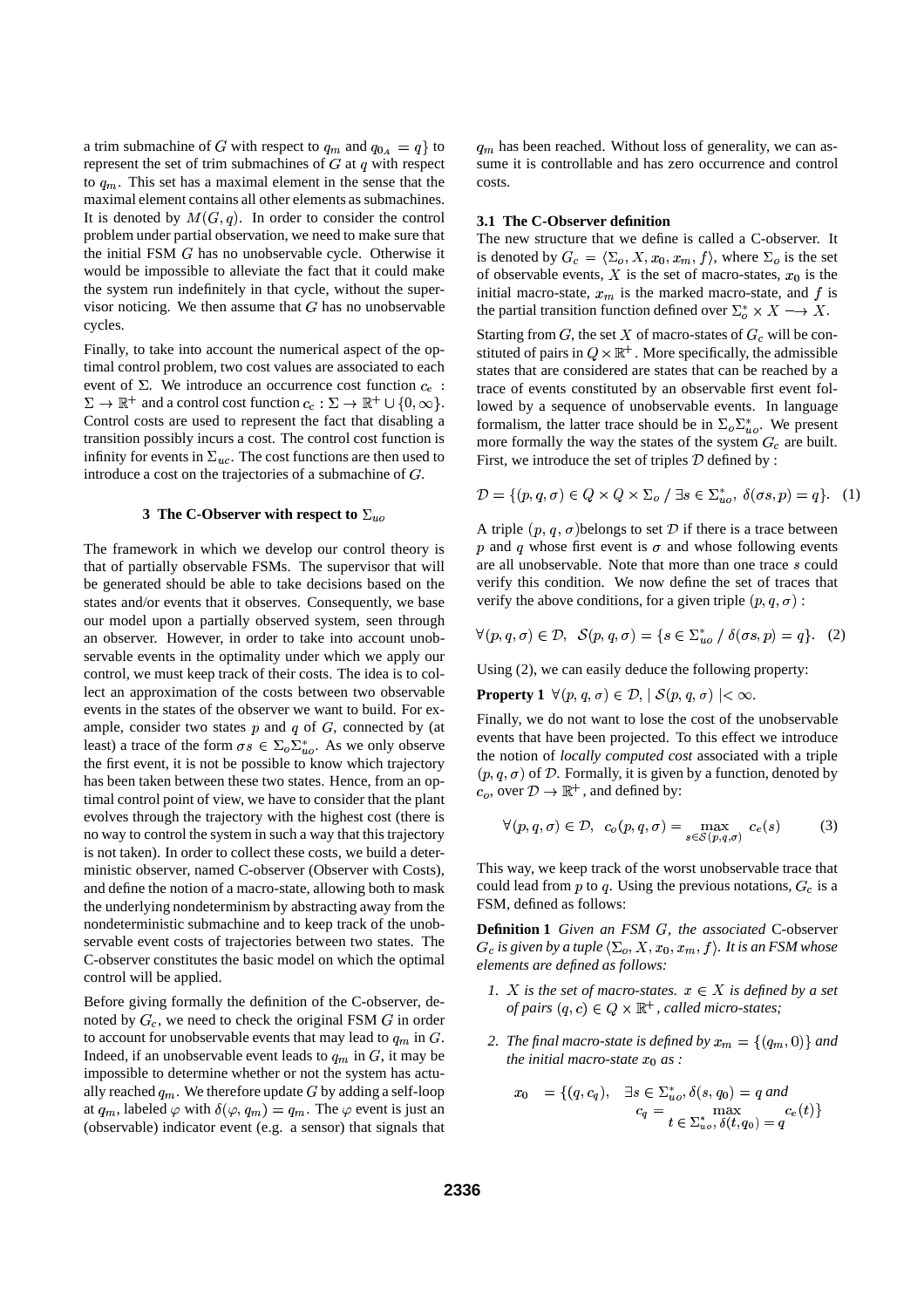a trim submachine of G with respect to  $q_m$  and  $q_{0_A} = q$  to represent the set of trim submachines of  $G$  at  $q$  with respect to  $q_m$ . This set has a maximal element in the sense that the maximal element contains all other elements as submachines. It is denoted by  $M(G, q)$ . In order to consider the control problem under partial observation, we need to make sure that the initial FSM  $G$  has no unobservable cycle. Otherwise it would be impossible to alleviate the fact that it could make the system run indefinitely in that cycle, without the supervisor noticing. We then assume that  $G$  has no unobservable cycles.

Finally, to take into account the numerical aspect of the optimal control problem, two cost values are associated to each event of  $\Sigma$ . We introduce an occurrence cost function  $c_e$ :  $\Sigma \to \mathbb{R}^+$  and a control cost function  $c_c : \Sigma \to \mathbb{R}^+ \cup \{0, \infty\}.$ Control costs are used to represent the fact that disabling a transition possibly incurs a cost. The control cost function is infinity for events in  $\Sigma_{nc}$ . The cost functions are then used to introduce a cost on the trajectories of a submachine of  $G$ .

## **3 The C-Observer with respect to**  $\Sigma_{uo}$

The framework in which we develop our control theory is that of partially observable FSMs. The supervisor that will be generated should be able to take decisions based on the states and/or events that it observes. Consequently, we base our model upon a partially observed system, seen through an observer. However, in order to take into account unobservable events in the optimality under which we apply our control, we must keep track of their costs. The idea is to collect an approximation of the costs between two observable events in the states of the observer we want to build. For example, consider two states  $p$  and  $q$  of  $G$ , connected by (at least) a trace of the form  $\sigma s \in \Sigma_o \Sigma_{uo}^*$ . As we only observe the first event, it is not be possible to know which trajectory has been taken between these two states. Hence, from an optimal control point of view, we have to consider that the plant evolves through the trajectory with the highest cost (there is no way to control the system in such a way that this trajectory is not taken). In order to collect these costs, we build a deterministic observer, named C-observer (Observer with Costs), and define the notion of a macro-state, allowing both to mask the underlying nondeterminism by abstracting away from the nondeterministic submachine and to keep track of the unobservable event costs of trajectories between two states. The C-observer constitutes the basic model on which the optimal control will be applied.

Before giving formally the definition of the C-observer, denoted by  $G_c$ , we need to check the original FSM  $G$  in order to account for unobservable events that may lead to  $q_m$  in  $G$ .  $\hspace{1cm}$  2 Indeed, if an unobservable event leads to  $q_m$  in G, it may be impossible to determine whether or not the system has actually reached  $q_m$ . We therefore update G by adding a self-loop at  $q_m$ , labeled  $\varphi$  with  $\delta(\varphi, q_m) = q_m$ . The  $\varphi$  event is just an (observable) indicator event (e.g. a sensor) that signals that

 $q_m$  has been reached. Without loss of generality, we can assume it is controllable and has zero occurrence and control costs.

## **3.1 The C-Observer definition**

The new structure that we define is called a C-observer. It is denoted by  $G_c = \langle \Sigma_o, X, x_0, x_m, f \rangle$ , where  $\Sigma_o$  is the set of observable events, X is the set of macro-states,  $x_0$  is the initial macro-state,  $x_m$  is the marked macro-state, and f is the partial transition function defined over  $\Sigma_o^* \times X \longrightarrow X$ .

Starting from G, the set X of macro-states of  $G_c$  will be constituted of pairs in  $Q \times \mathbb{R}^+$ . More specifically, the admissible states that are considered are states that can be reached by a trace of events constituted by an observable first event followed by a sequence of unobservable events. In language formalism, the latter trace should be in  $\Sigma_o \Sigma_{uo}^*$ . We present more formally the way the states of the system  $G_c$  are built. First, we introduce the set of triples  $D$  defined by :

$$
\mathcal{D} = \{ (p, q, \sigma) \in Q \times Q \times \Sigma_o \mid \exists s \in \Sigma_{uo}^*, \ \delta(\sigma s, p) = q \}. \tag{1}
$$

A triple  $(p, q, \sigma)$ belongs to set  $\mathcal D$  if there is a trace between p and q whose first event is  $\sigma$  and whose following events are all unobservable. Note that more than one trace  $s$  could verify this condition. We now define the set of traces that verify the above conditions, for a given triple  $(p, q, \sigma)$ :

$$
\forall (p,q,\sigma) \in \mathcal{D}, \ \mathcal{S}(p,q,\sigma) = \{s \in \Sigma_{uo}^* / \delta(\sigma s, p) = q\}. \tag{2}
$$

Using (2), we can easily deduce the following property:

**Property 1**  $\forall (p, q, \sigma) \in \mathcal{D}, |\mathcal{S}(p, q, \sigma)| < \infty.$ 

Finally, we do not want to lose the cost of the unobservable events that have been projected. To this effect we introduce the notion of *locally computed cost* associated with a triple  $(p, q, \sigma)$  of  $\mathcal D$ . Formally, it is given by a function, denoted by  $c_o$ , over  $\mathcal{D} \to \mathbb{R}^+$ , and defined by:

$$
\forall (p,q,\sigma) \in \mathcal{D}, \ c_o(p,q,\sigma) = \max_{s \in \mathcal{S}(p,q,\sigma)} c_e(s) \tag{3}
$$

This way, we keep track of the worst unobservable trace that could lead from  $p$  to  $q$ . Using the previous notations,  $G<sub>c</sub>$  is a FSM, defined as follows:

**Definition 1** *Given an FSM G, the associated* C-observer  $G_c$  is given by a tuple  $\langle\Sigma_o, X, x_0, x_m, f\rangle$ . It is an FSM whose *elements are defined as follows:*

- *1. X is the set of macro-states.*  $x \in X$  *is defined by a set of pairs*  $(q, c) \in Q \times \mathbb{R}^+$ , *called micro-states;*
- 2. *The final macro-state is defined by*  $x_m = \{(q_m, 0)\}$  and *the initial macro-state*  $x_0$  *as* :

$$
x_0 = \{(q, c_q), \quad \exists s \in \sum_{u}^* \delta(s, q_0) = q \text{ and } \newline c_q = \max_{t \in \sum_{u}^* \delta(t, q_0) = q} c_e(t) \}
$$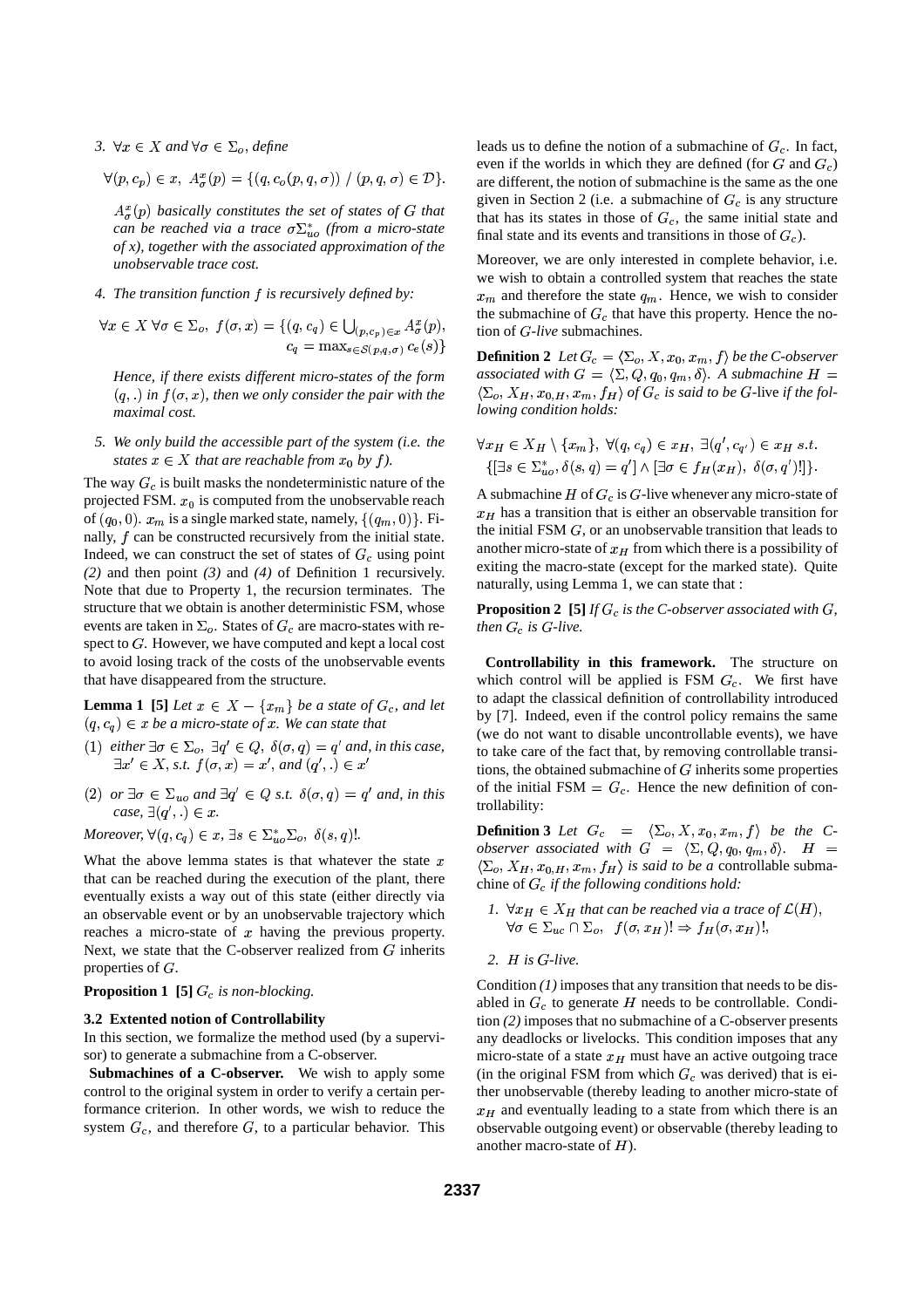3.  $\forall x \in X$  and  $\forall \sigma \in \Sigma_o$ , define

$$
\forall (p, c_p) \in x, A^x_\sigma(p) = \{ (q, c_o(p, q, \sigma)) \mid (p, q, \sigma) \in \mathcal{D} \}.
$$

 $A_{\sigma}^{x}(p)$  *basically constitutes the set of states of G that can be reached via a trace*  $\sigma \Sigma_{uo}^{*}$  (from *a micro-state of x), together with the associated approximation of the unobservable trace cost.*

*4. The transition function f is recursively defined by:* 

$$
\forall x \in X \,\forall \sigma \in \Sigma_o, \, f(\sigma, x) = \{ (q, c_q) \in \bigcup_{(p, c_p) \in x} A^x_\sigma(p),
$$
  

$$
c_q = \max_{s \in \mathcal{S}(p, q, \sigma)} c_e(s) \}
$$

*Hence, if there exists different micro-states of the form*  $(q, .)$  in  $f(\sigma, x)$ , then we only consider the pair with the *maximal cost.*

*5. We only build the accessible part of the system (i.e. the states*  $x \in X$  *that are reachable from*  $x_0$  *by f)*.

The way  $G_c$  is built masks the nondeterministic nature of the projected FSM.  $x_0$  is computed from the unobservable reach of  $(q_0, 0)$ .  $x_m$  is a single marked state, namely,  $\{(q_m, 0)\}$ . Finally,  $f$  can be constructed recursively from the initial state. Indeed, we can construct the set of states of  $G_c$  using point *(2)* and then point *(3)* and *(4)* of Definition 1 recursively. Note that due to Property 1, the recursion terminates. The structure that we obtain is another deterministic FSM, whose events are taken in  $\Sigma_o$ . States of  $G_c$  are macro-states with respect to  $G$ . However, we have computed and kept a local cost to avoid losing track of the costs of the unobservable events that have disappeared from the structure.

**Lemma 1** [5] Let  $x \in X - \{x_m\}$  be a state of  $G_c$ , and let  $(q, c_q) \in x$  *be a micro-state of x. We can state that* 

- (1)  $\text{either } \exists \sigma \in \Sigma_o, \exists q' \in Q, \ \delta(\sigma, q) = q' \text{ and, in this case,}$  $\exists x' \in X$ , s.t.  $f(\sigma, x) = x'$ , and  $(q', .) \in x'$
- (2) or  $\exists \sigma \in \Sigma_{uo}$  and  $\exists q' \in Q$  s.t.  $\delta(\sigma, q) = q'$  and, in this  $case, \exists (q',.) \in x.$

*Moreover,*  $\forall (q, c_q) \in x, \exists s \in \sum_{u}^{*} \sum_{o}, \delta(s, q)$ .

What the above lemma states is that whatever the state  $x$ that can be reached during the execution of the plant, there eventually exists a way out of this state (either directly via an observable event or by an unobservable trajectory which reaches a micro-state of  $x$  having the previous property. Next, we state that the C-observer realized from  $G$  inherits properties of  $G$ .

## **Proposition 1** [5]  $G_c$  *is non-blocking.*

## **3.2 Extented notion of Controllability**

In this section, we formalize the method used (by a supervisor) to generate a submachine from a C-observer.

**Submachines of a C-observer.** We wish to apply some control to the original system in order to verify a certain performance criterion. In other words, we wish to reduce the system  $G_c$ , and therefore  $G$ , to a particular behavior. This leads us to define the notion of a submachine of  $G_c$ . In fact, even if the worlds in which they are defined (for  $G$  and  $G_c$ ) are different, the notion of submachine is the same as the one given in Section 2 (i.e. a submachine of  $G<sub>c</sub>$  is any structure that has its states in those of  $G_c$ , the same initial state and final state and its events and transitions in those of  $G<sub>c</sub>$ ).

Moreover, we are only interested in complete behavior, i.e. we wish to obtain a controlled system that reaches the state  $x_m$  and therefore the state  $q_m$ . Hence, we wish to consider the submachine of  $G_c$  that have this property. Hence the notion of G-live submachines.

 $\text{Definition 2}$  *Let*  $G_c = \langle \Sigma_o, X, x_0, x_m, f \rangle$  *be the C-observer* associated with  $G = \langle \Sigma, Q, q_0, q_m, \delta \rangle$ . A submachine  $H =$  $\langle \Sigma_o, X_H, x_{0,H}, x_m, f_H \rangle$  of  $G_c$  is said to be G-live if the fol*lowing condition holds:*

$$
\forall x_H \in X_H \setminus \{x_m\}, \ \forall (q, c_q) \in x_H, \ \exists (q', c_{q'}) \in x_H \ s.t.
$$

$$
\{\exists s \in \sum_{u \circ s}^* \delta(s, q) = q' \} \land [\exists \sigma \in f_H(x_H), \ \delta(\sigma, q')!] \}.
$$

A submachine  $H$  of  $G_c$  is  $G$ -live whenever any micro-state of  $x_H$  has a transition that is either an observable transition for the initial FSM  $G$ , or an unobservable transition that leads to another micro-state of  $x_H$  from which there is a possibility of exiting the macro-state (except for the marked state). Quite naturally, using Lemma 1, we can state that :

**Proposition 2** [5] *If*  $G_c$  *is the C-observer associated with*  $G$ *, then*  $G_c$  *is*  $G$ -live.

**Controllability in this framework.** The structure on which control will be applied is FSM  $G_c$ . We first have to adapt the classical definition of controllability introduced by [7]. Indeed, even if the control policy remains the same (we do not want to disable uncontrollable events), we have to take care of the fact that, by removing controllable transitions, the obtained submachine of  $G$  inherits some properties of the initial FSM  $= G_c$ . Hence the new definition of controllability:

**Definition 3** Let  $G_c = \langle \Sigma_o, X, x_0, x_m, f \rangle$  be the C*observer* associated with  $G = \langle \Sigma, Q, q_0, q_m, \delta \rangle$ .  $H =$  $\langle \Sigma_o, X_H, x_{0,H}, x_m, f_H \rangle$  *is said to be a* controllable submachine of  $G_c$  *if the following conditions hold:* 

- *I*.  $\forall x_H \in X_H$  *that can be reached via a trace of*  $\mathcal{L}(H)$ ,  $\mathbf{v} \in \mathbb{Z}_{n}$  ,  $\mathbb{Z}_{\alpha}$ ,  $\mathbb{Z}_{n}$  ,  $\mathbb{Z}_{n}$  ,  $\mathbb{Z}_{n}$  ,  $\mathbb{Z}_{n}$  ,  $\mathbb{Z}_{n}$  ,  $\mathbb{Z}_{n}$  ,  $\mathbb{Z}_{n}$  ,  $\mathbb{Z}_{n}$  ,  $\mathbb{Z}_{n}$  ,  $\mathbb{Z}_{n}$  ,  $\mathbb{Z}_{n}$  ,  $\mathbb{Z}_{n}$  ,  $\mathbb{Z}_{n}$  ,  $\mathbb{Z}_{n}$  ,  $\mathbb{$
- 2.  $H$  *is*  $G$ -live.

Condition  $(1)$  imposes that any transition that needs to be disabled in  $G_c$  to generate H needs to be controllable. Condition *(2)* imposes that no submachine of a C-observer presents any deadlocks or livelocks. This condition imposes that any micro-state of a state  $x_H$  must have an active outgoing trace (in the original FSM from which  $G_c$  was derived) that is either unobservable (thereby leading to another micro-state of  $x_H$  and eventually leading to a state from which there is an observable outgoing event) or observable (thereby leading to another macro-state of  $H$ ).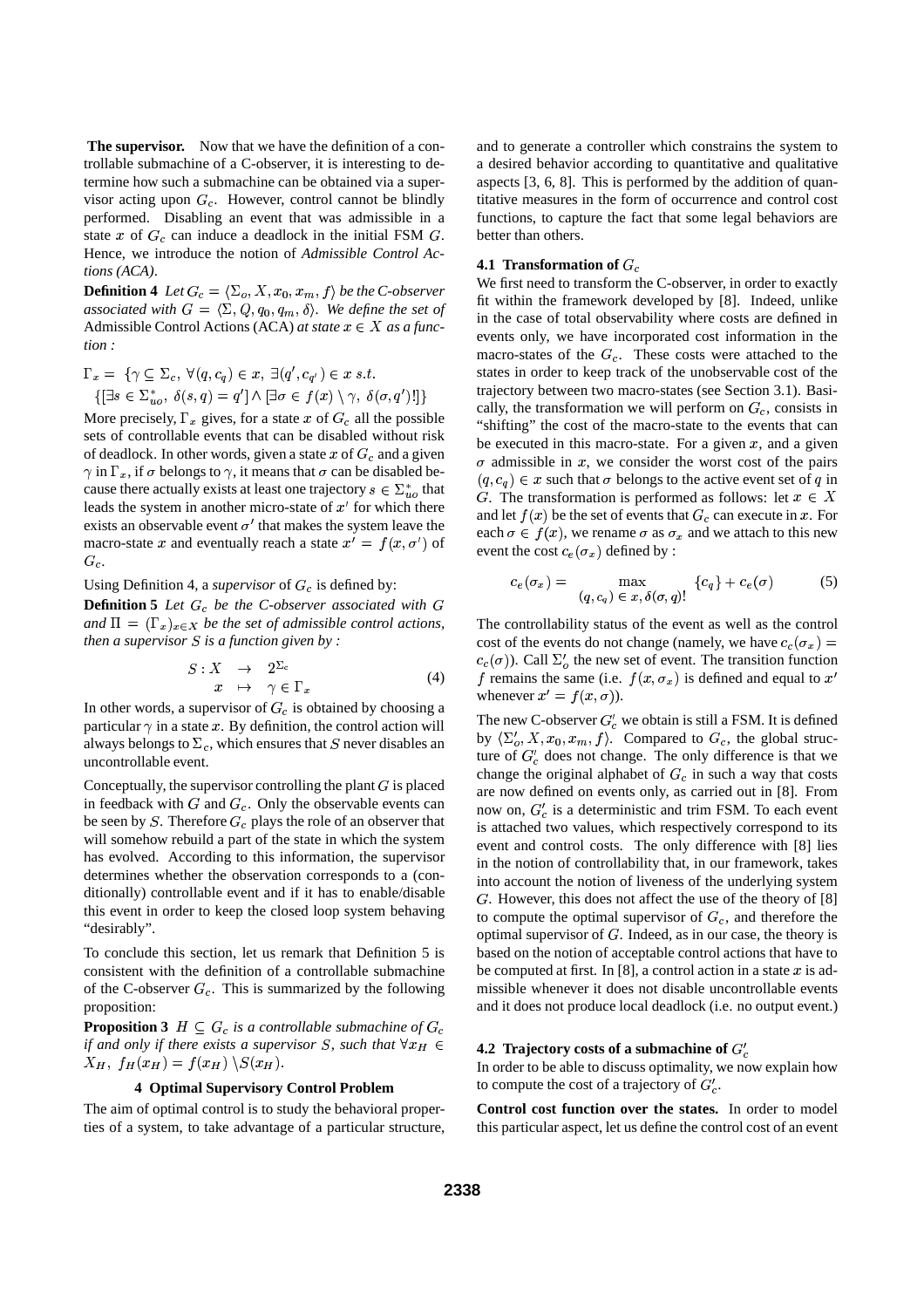**The supervisor.** Now that we have the definition of a controllable submachine of a C-observer, it is interesting to determine how such a submachine can be obtained via a supervisor acting upon  $G_c$ . However, control cannot be blindly performed. Disabling an event that was admissible in a state x of  $G_c$  can induce a deadlock in the initial FSM  $G$ . Hence, we introduce the notion of *Admissible Control Actions (ACA)*.

**Definition 4** Let  $G_c = \langle \Sigma_o, X, x_0, x_m, f \rangle$  be the C-observer associated with  $G = \langle \Sigma, Q, q_0, q_m, \delta \rangle$ . We define the set of Admissible Control Actions (ACA) *at state*  $x \in X$  *as a function :*

$$
\Gamma_x = \{ \gamma \subseteq \Sigma_c, \ \forall (q, c_q) \in x, \ \exists (q', c_{q'}) \in x \ s.t. \{ [\exists s \in \Sigma_{uo}^*, \ \delta(s, q) = q'] \land [\exists \sigma \in f(x) \setminus \gamma, \ \delta(\sigma, q')!] \}
$$

More precisely,  $\Gamma_x$  gives, for a state x of  $G_c$  all the possible sets of controllable events that can be disabled without risk of deadlock. In other words, given a state  $x$  of  $G_c$  and a given  $\gamma$  in  $\Gamma_x$ , if  $\sigma$  belongs to  $\gamma$ , it means that  $\sigma$  can be disabled because there actually exists at least one trajectory  $s \in \sum_{u=0}^{\infty}$  that leads the system in another micro-state of  $x'$  for which there exists an observable event  $\sigma'$  that makes the system leave the macro-state x and eventually reach a state  $x' = f(x, \sigma')$  of  $G_c$ .

Using Definition 4, a *supervisor* of  $G_c$  is defined by:

**Definition 5** *Let*  $G_c$  *be the C-observer associated with*  $G$ and  $\Pi = (\Gamma_x)_{x \in X}$  *be the set of admissible control actions, then*  $a$  *supervisor*  $S$  *is a function given by* :

$$
S: X \to 2^{\Sigma_c} \n x \to \gamma \in \Gamma_x
$$
\n(4)

In other words, a supervisor of  $G_c$  is obtained by choosing a particular  $\gamma$  in a state x. By definition, the control action will always belongs to  $\Sigma_c$ , which ensures that S never disables an uncontrollable event.

Conceptually, the supervisor controlling the plant  $G$  is placed in feedback with  $G$  and  $G_c$ . Only the observable events can be seen by S. Therefore  $G_c$  plays the role of an observer that will somehow rebuild a part of the state in which the system has evolved. According to this information, the supervisor determines whether the observation corresponds to a (conditionally) controllable event and if it has to enable/disable this event in order to keep the closed loop system behaving "desirably".

To conclude this section, let us remark that Definition 5 is consistent with the definition of a controllable submachine of the C-observer  $G_c$ . This is summarized by the following proposition:

**Proposition 3**  $H \subseteq G_c$  *is a controllable submachine of*  $G$ the contract of the contract of the contract of the contract of the contract of *if* and only if there exists a supervisor S, such that  $\forall x_H \in$  $X_H$ ,  $f_H(x_H) = f(x_H) \setminus S(x_H)$ .

## **4 Optimal Supervisory Control Problem**

The aim of optimal control is to study the behavioral properties of a system, to take advantage of a particular structure, and to generate a controller which constrains the system to a desired behavior according to quantitative and qualitative aspects [3, 6, 8]. This is performed by the addition of quantitative measures in the form of occurrence and control cost functions, to capture the fact that some legal behaviors are better than others.

## **4.1 Transformation of**  $G_c$

We first need to transform the C-observer, in order to exactly fit within the framework developed by [8]. Indeed, unlike in the case of total observability where costs are defined in events only, we have incorporated cost information in the macro-states of the  $G_c$ . These costs were attached to the states in order to keep track of the unobservable cost of the trajectory between two macro-states (see Section 3.1). Basically, the transformation we will perform on  $G_c$ , consists in "shifting" the cost of the macro-state to the events that can be executed in this macro-state. For a given  $x$ , and a given  $\sigma$  admissible in x, we consider the worst cost of the pairs  $(q, c_q) \in x$  such that  $\sigma$  belongs to the active event set of q in G. The transformation is performed as follows: let  $x \in X$ and let  $f(x)$  be the set of events that  $G_c$  can execute in x. For each  $\sigma \in f(x)$ , we rename  $\sigma$  as  $\sigma_x$  and we attach to this new event the cost  $c_e(\sigma_x)$  defined by :

$$
c_e(\sigma_x) = \max_{(q, c_q) \in x, \delta(\sigma, q)!} \{c_q\} + c_e(\sigma) \tag{5}
$$

The controllability status of the event as well as the control cost of the events do not change (namely, we have  $c_c(\sigma_x) =$  $c_c(\sigma)$ ). Call  $\Sigma'_{\sigma}$  the new set of event. The transition function f remains the same (i.e.  $f(x, \sigma_x)$  is defined and equal to  $x'$ whenever  $x' = f(x, \sigma)$ ).

The new C-observer  $G'_{c}$  we obtain is still a FSM. It is defined by  $\langle \Sigma'_o, X, x_0, x_m, f \rangle$ . Compared to  $G_c$ , the global structure of  $G'_{c}$  does not change. The only difference is that we change the original alphabet of  $G_c$  in such a way that costs are now defined on events only, as carried out in [8]. From now on,  $G_c$  is a deterministic and trim FSM. To each event is attached two values, which respectively correspond to its event and control costs. The only difference with [8] lies in the notion of controllability that, in our framework, takes into account the notion of liveness of the underlying system . However, this does not affect the use of the theory of [8] to compute the optimal supervisor of  $G_c$ , and therefore the optimal supervisor of  $G$ . Indeed, as in our case, the theory is based on the notion of acceptable control actions that have to be computed at first. In [8], a control action in a state  $x$  is admissible whenever it does not disable uncontrollable events and it does not produce local deadlock (i.e. no output event.)

## **4.2 Trajectory costs** of **a** submachine of  $G'$

In order to be able to discuss optimality, we now explain how to compute the cost of a trajectory of  $G'_{c}$ .

**Control cost function over the states.** In order to model this particular aspect, let us define the control cost of an event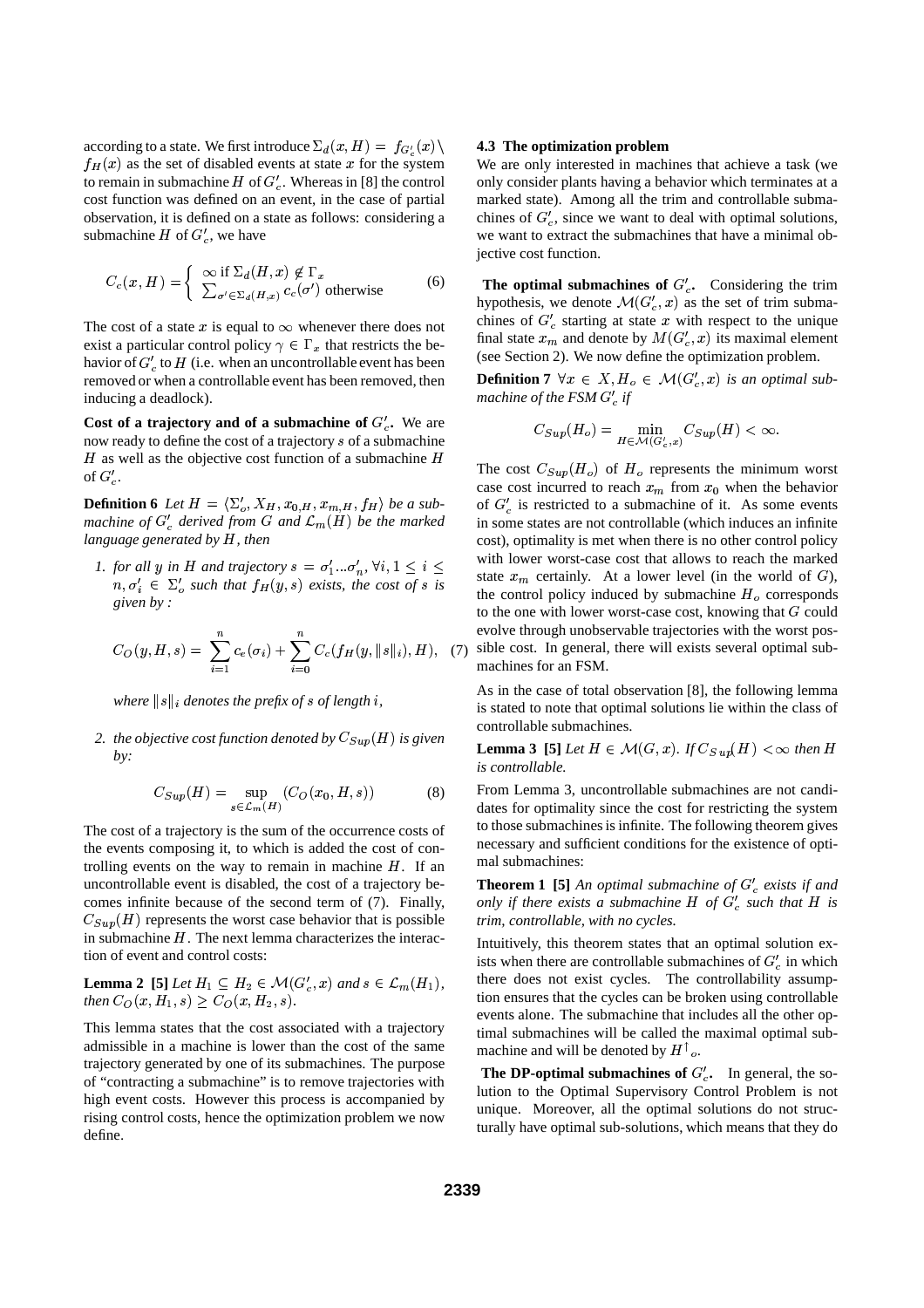according to a state. We first introduce  $\Sigma_d(x,H) = f_{G'_a}(x) \setminus \mathbf{4.3}$  $f_H(x)$  as the set of disabled events at state x for the system to remain in submachine  $H$  of  $G_c'$ . Whereas in [8] the control cost function was defined on an event, in the case of partial observation, it is defined on a state as follows: considering a submachine  $H$  of  $G_c'$ , we have

$$
C_c(x, H) = \begin{cases} \infty & \text{if } \Sigma_d(H, x) \notin \Gamma_x \\ \sum_{\sigma' \in \Sigma_d(H, x)} c_c(\sigma') & \text{otherwise} \end{cases}
$$
 (6)

The cost of a state x is equal to  $\infty$  whenever there does not exist a particular control policy  $\gamma \in \Gamma_x$  that restricts the behavior of  $G'_{c}$  to  $H$  (i.e. when an uncontrollable event has been removed or when a controllable event has been removed, then inducing a deadlock).

**Cost** of a **trajectory** and of a **submachine** of  $G'_c$ . We are now ready to define the cost of a trajectory  $s$  of a submachine  $H$  as well as the objective cost function of a submachine  $H$ of  $G'_{c}$ .

**Definition 6** *Let*  $H = \langle \Sigma'_o, X_H, x_{0,H}, x_{m,H}, f_H \rangle$  *be a submachine* of  $G'_{c}$  *derived from*  $G$  *and*  $\mathcal{L}_{m}(H)$  *be the marked language generated* by  $H$ *, then* 

*1. for all y in H and trajectory*  $s = \sigma'_1 \dots \sigma'_n$ ,  $\forall i, 1 \le i \le n$  $m, \sigma_i' \in \Sigma_o'$  such that  $f_H(y, s)$  exists, the cost of s is *given by :*

$$
C_O(y, H, s) = \sum_{i=1}^{n} c_e(\sigma_i) + \sum_{i=0}^{n} C_c(f_H(y, \|s\|_i), H), \quad (7)
$$

where  $\|s\|_i$  denotes the prefix of  $s$  of length  $i$ ,

2. *the objective cost function denoted by*  $C_{Sup}(H)$  *is given by:*

$$
C_{Sup}(H) = \sup_{s \in \mathcal{L}_m(H)} (C_O(x_0, H, s))
$$
 (8)

The cost of a trajectory is the sum of the occurrence costs of the events composing it, to which is added the cost of controlling events on the way to remain in machine  $H$ . If an uncontrollable event is disabled, the cost of a trajectory becomes infinite because of the second term of (7). Finally,  $C_{Sup}(H)$  represents the worst case behavior that is possible in submachine  $H$ . The next lemma characterizes the interaction of event and control costs:

**Lemma 2 [5]** *Let*  $H_1 \subseteq H_2 \in \mathcal{M}(G'_c, x)$  and  $s \in \mathcal{L}_m(H_1)$ , *then*  $C_O(x, H_1, s) \geq C_O(x, H_2, s)$ .

This lemma states that the cost associated with a trajectory admissible in a machine is lower than the cost of the same trajectory generated by one of its submachines. The purpose of "contracting a submachine" is to remove trajectories with high event costs. However this process is accompanied by rising control costs, hence the optimization problem we now define.

## **4.3 The optimization problem**

We are only interested in machines that achieve a task (we only consider plants having a behavior which terminates at a marked state). Among all the trim and controllable submachines of  $G'_{c}$ , since we want to deal with optimal solutions, we want to extract the submachines that have a minimal objective cost function.

**The optimal submachines of**  $G_c'$ **. Considering the trim** hypothesis, we denote  $\mathcal{M}(G'_{c}, x)$  as the set of trim submachines of  $G_c'$  starting at state x with respect to the unique final state  $x_m$  and denote by  $M(G'_c, x)$  its maximal element (see Section 2). We now define the optimization problem.

**Definition 7**  $\forall x \in X, H_0 \in \mathcal{M}(G'_c, x)$  is an optimal sub*machine of the FSM if*

$$
C_{Sup}(H_o) = \min_{H \in \mathcal{M}(G'_c, x)} C_{Sup}(H) < \infty.
$$

The cost  $C_{Sup}(H_o)$  of  $H_o$  represents the minimum worst case cost incurred to reach  $x_m$  from  $x_0$  when the behavior of  $G'_{\alpha}$  is restricted to a submachine of it. As some events in some states are not controllable (which induces an infinite cost), optimality is met when there is no other control policy with lower worst-case cost that allows to reach the marked state  $x_m$  certainly. At a lower level (in the world of  $G$ ), the control policy induced by submachine  $H<sub>o</sub>$  corresponds to the one with lower worst-case cost, knowing that  $G$  could evolve through unobservable trajectories with the worst possible cost. In general, there will exists several optimal submachines for an FSM.

As in the case of total observation [8], the following lemma is stated to note that optimal solutions lie within the class of controllable submachines.

**Lemma 3** [5] Let  $H \in \mathcal{M}(G,x)$ . If  $C_{S \cdot u}(\mu) < \infty$  then H *is controllable.*

From Lemma 3, uncontrollable submachines are not candidates for optimality since the cost for restricting the system to those submachines is infinite. The following theorem gives necessary and sufficient conditions for the existence of optimal submachines:

**Theorem 1** [5] An *optimal submachine of*  $G_c$  *exists if and only* if there exists a submachine  $H$  of  $G'_{c}$  such that  $H$  is *trim, controllable, with no cycles.*

Intuitively, this theorem states that an optimal solution exists when there are controllable submachines of  $G'_{\alpha}$  in which there does not exist cycles. The controllability assumption ensures that the cycles can be broken using controllable events alone. The submachine that includes all the other optimal submachines will be called the maximal optimal submachine and will be denoted by  $H^{\dagger}$ <sub>o</sub>.

**The DP-optimal submachines of**  $G_c'$ **.** In general, the solution to the Optimal Supervisory Control Problem is not unique. Moreover, all the optimal solutions do not structurally have optimal sub-solutions, which means that they do